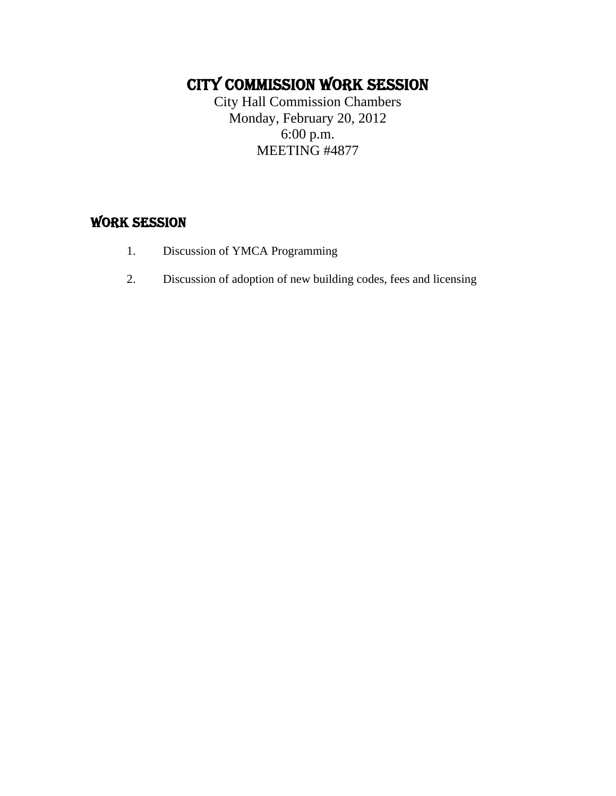## CITY COMMISSION WORK SESSION

City Hall Commission Chambers Monday, February 20, 2012 6:00 p.m. MEETING #4877

## WORK SESSION

- 1. Discussion of YMCA Programming
- 2. Discussion of adoption of new building codes, fees and licensing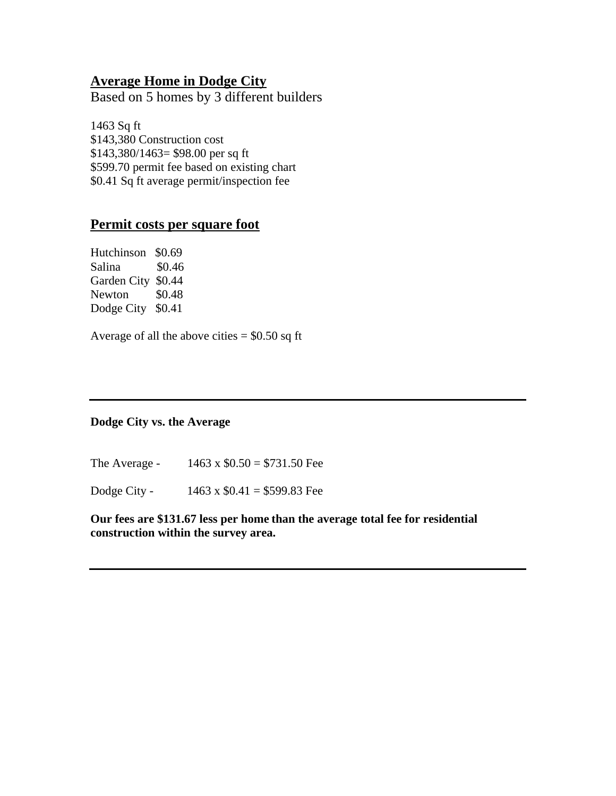### **Average Home in Dodge City**

Based on 5 homes by 3 different builders

1463 Sq ft \$143,380 Construction cost \$143,380/1463= \$98.00 per sq ft \$599.70 permit fee based on existing chart \$0.41 Sq ft average permit/inspection fee

#### **Permit costs per square foot**

| Hutchinson  | \$0.69 |
|-------------|--------|
| Salina      | \$0.46 |
| Garden City | \$0.44 |
| Newton      | \$0.48 |
| Dodge City  | \$0.41 |

Average of all the above cities  $= $0.50$  sq ft

#### **Dodge City vs. the Average**

The Average - 1463 x  $$0.50 = $731.50$  Fee

Dodge City - 1463 x  $$0.41 = $599.83$  Fee

**Our fees are \$131.67 less per home than the average total fee for residential construction within the survey area.**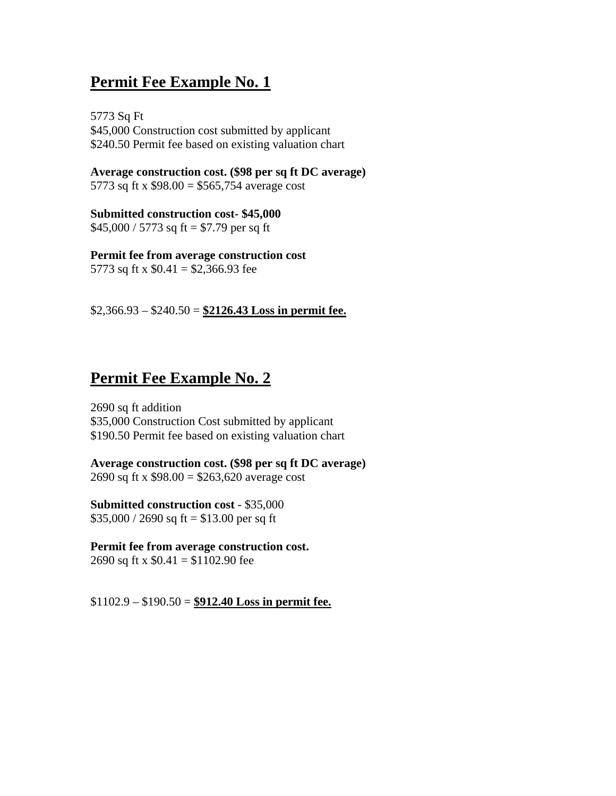## **Permit Fee Example No. 1**

5773 Sq Ft \$45,000 Construction cost submitted by applicant \$240.50 Permit fee based on existing valuation chart

**Average construction cost. (\$98 per sq ft DC average)**  5773 sq ft x \$98.00 = \$565,754 average cost

**Submitted construction cost- \$45,000**   $$45,000 / 5773$  sq ft = \$7.79 per sq ft

**Permit fee from average construction cost**  5773 sq ft x  $$0.41 = $2,366.93$  fee

\$2,366.93 – \$240.50 = **\$2126.43 Loss in permit fee.**

## **Permit Fee Example No. 2**

2690 sq ft addition \$35,000 Construction Cost submitted by applicant \$190.50 Permit fee based on existing valuation chart

**Average construction cost. (\$98 per sq ft DC average)**  2690 sq ft x  $$98.00 = $263,620$  average cost

**Submitted construction cost** - \$35,000  $$35,000 / 2690$  sq ft = \$13.00 per sq ft

**Permit fee from average construction cost.**  2690 sq ft x  $$0.41 = $1102.90$  fee

\$1102.9 – \$190.50 = **\$912.40 Loss in permit fee.**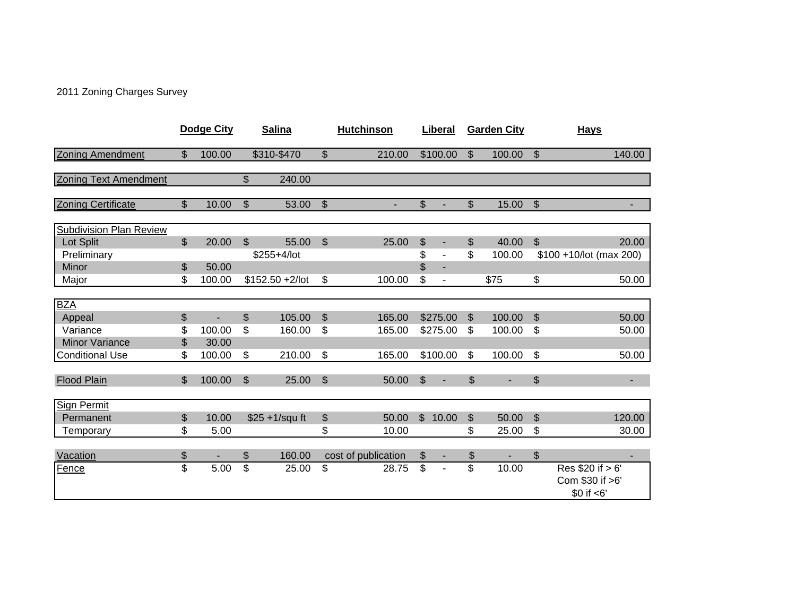2011 Zoning Charges Survey

|                                                 |          | Dodge City      |                           | <b>Salina</b>    |                           | <b>Hutchinson</b>   |                      | Liberal  |                | <b>Garden City</b> | <b>Hays</b>                                          |
|-------------------------------------------------|----------|-----------------|---------------------------|------------------|---------------------------|---------------------|----------------------|----------|----------------|--------------------|------------------------------------------------------|
| <b>Zoning Amendment</b>                         | \$       | 100.00          |                           | \$310-\$470      | \$                        | 210.00              |                      | \$100.00 | $\mathfrak{S}$ | 100.00             | \$<br>140.00                                         |
| <b>Zoning Text Amendment</b>                    |          |                 | \$                        | 240.00           |                           |                     |                      |          |                |                    |                                                      |
| <b>Zoning Certificate</b>                       | \$       | 10.00           | $\mathfrak{S}$            | 53.00            | $\mathfrak{S}$            |                     | \$                   |          | \$             | 15.00              | \$                                                   |
| <b>Subdivision Plan Review</b><br>Lot Split     | \$       | 20.00           | $\mathfrak{S}$            | 55.00            | $\boldsymbol{\mathsf{S}}$ | 25.00               | \$                   |          | \$             | 40.00              | \$<br>20.00                                          |
| Preliminary<br>Minor                            | \$       | 50.00           |                           | \$255+4/lot      |                           |                     | \$<br>$\mathfrak{S}$ | ÷.       | \$             | 100.00             | \$100 +10/lot (max 200)                              |
| Major                                           | \$       | 100.00          |                           | $$152.50 +2/lot$ | \$                        | 100.00              | \$                   |          |                | \$75               | \$<br>50.00                                          |
| <b>BZA</b>                                      |          |                 |                           |                  |                           |                     |                      |          |                |                    |                                                      |
| Appeal                                          | \$       | ٠               | \$                        | 105.00           | \$                        | 165.00              |                      | \$275.00 | \$             | 100.00             | \$<br>50.00                                          |
| Variance                                        | \$       | 100.00          | \$                        | 160.00           | \$                        | 165.00              |                      | \$275.00 | \$             | 100.00             | \$<br>50.00                                          |
| <b>Minor Variance</b><br><b>Conditional Use</b> | \$<br>\$ | 30.00<br>100.00 | \$                        | 210.00           | \$                        | 165.00              |                      | \$100.00 | \$             | 100.00             | \$<br>50.00                                          |
|                                                 |          |                 |                           |                  |                           |                     |                      |          |                |                    |                                                      |
| <b>Flood Plain</b>                              | \$       | 100.00          | $\boldsymbol{\mathsf{S}}$ | 25.00            | $\boldsymbol{\mathsf{S}}$ | 50.00               | \$                   |          | $\$\$          |                    | \$<br>٠                                              |
| <b>Sign Permit</b>                              |          |                 |                           |                  |                           |                     |                      |          |                |                    |                                                      |
| Permanent                                       | \$       | 10.00           |                           | \$25 +1/squ ft   | \$                        | 50.00               | $\mathfrak{L}$       | 10.00    | \$             | 50.00              | \$<br>120.00                                         |
| Temporary                                       | \$       | 5.00            |                           |                  | \$                        | 10.00               |                      |          | \$             | 25.00              | \$<br>30.00                                          |
| Vacation                                        | \$       | ٠               | \$                        | 160.00           |                           | cost of publication | \$                   | ٠        | \$             |                    | \$                                                   |
| Fence                                           | \$       | 5.00            | \$                        | 25.00            | \$                        | 28.75               | \$                   |          | \$             | 10.00              | Res \$20 if > 6'<br>Com \$30 if >6'<br>$$0$ if $<6'$ |